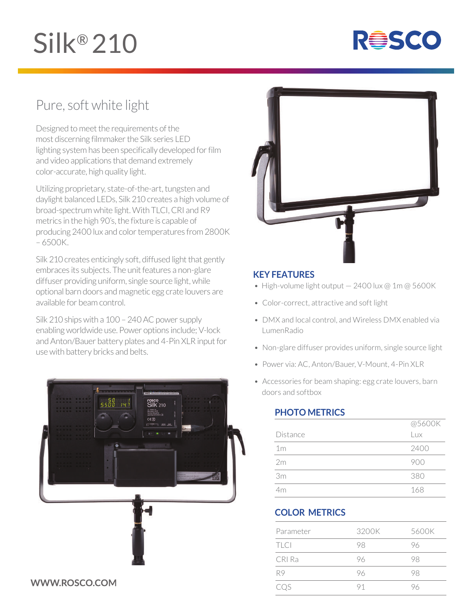# Silk® 210



## Pure, soft white light

Designed to meet the requirements of the most discerning filmmaker the Silk series LED lighting system has been specifically developed for film and video applications that demand extremely color-accurate, high quality light.

Utilizing proprietary, state-of-the-art, tungsten and daylight balanced LEDs, Silk 210 creates a high volume of broad-spectrum white light. With TLCI, CRI and R9 metrics in the high 90's, the fixture is capable of producing 2400 lux and color temperatures from 2800K – 6500K.

Silk 210 creates enticingly soft, diffused light that gently embraces its subjects. The unit features a non-glare diffuser providing uniform, single source light, while optional barn doors and magnetic egg crate louvers are available for beam control.

Silk 210 ships with a 100 – 240 AC power supply enabling worldwide use. Power options include; V-lock and Anton/Bauer battery plates and 4-Pin XLR input for use with battery bricks and belts.





#### **KEY FEATURES**

- High-volume light output  $-2400$  lux @ 1m @ 5600K
- Color-correct, attractive and soft light
- DMX and local control, and Wireless DMX enabled via LumenRadio
- Non-glare diffuser provides uniform, single source light
- Power via: AC, Anton/Bauer, V-Mount, 4-Pin XLR
- Accessories for beam shaping: egg crate louvers, barn doors and softbox

### **PHOTO METRICS**

|                | @5600K |
|----------------|--------|
| Distance       | Lux    |
| 1 <sub>m</sub> | 2400   |
| 2m             | 900    |
| 3m             | 380    |
| 4m             | 168    |

### **COLOR METRICS**

| Parameter   | 3200K | 5600K |
|-------------|-------|-------|
| <b>TLCI</b> | 98    | 96    |
| CRI Ra      | 96    | 98    |
| R9          | 96    | 98    |
| COS         | 91    | りん    |

#### WWW.ROSCO.COM